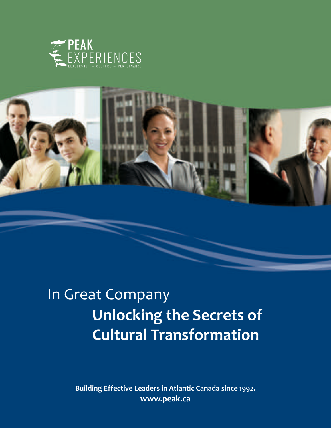



# In Great Company **Unlocking the Secrets of Cultural Transformation**

**Building Effective Leaders in Atlantic Canada since 1992. www.peak.ca**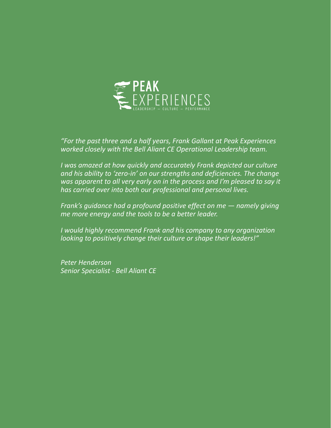

*"For the past three and a half years, Frank Gallant at Peak Experiences worked closely with the Bell Aliant CE Operational Leadership team.* 

*I was amazed at how quickly and accurately Frank depicted our culture and his ability to 'zero-in' on our strengths and deficiencies. The change was apparent to all very early on in the process and I'm pleased to say it has carried over into both our professional and personal lives.* 

*Frank's guidance had a profound positive effect on me — namely giving me more energy and the tools to be a better leader.* 

*I would highly recommend Frank and his company to any organization looking to positively change their culture or shape their leaders!"* 

*Peter Henderson Senior Specialist - Bell Aliant CE*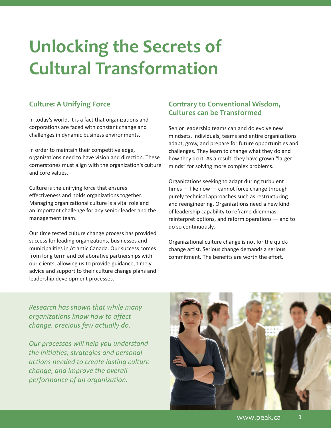# **Unlocking the Secrets of Cultural Transformation**

# **Culture: A Unifying Force**

In today's world, it is a fact that organizations and corporations are faced with constant change and challenges in dynamic business environments.

In order to maintain their competitive edge, organizations need to have vision and direction. These cornerstones must align with the organization's culture and core values.

Culture is the unifying force that ensures effectiveness and holds organizations together. Managing organizational culture is a vital role and an important challenge for any senior leader and the management team.

Our time tested culture change process has provided success for leading organizations, businesses and municipalities in Atlantic Canada. Our success comes from long term and collaborative partnerships with our clients, allowing us to provide guidance, timely advice and support to their culture change plans and leadership development processes.

# **Contrary to Conventional Wisdom, Cultures can be Transformed**

Senior leadership teams can and do evolve new mindsets. Individuals, teams and entire organizations adapt, grow, and prepare for future opportunities and challenges. They learn to change what they do and how they do it. As a result, they have grown "larger minds" for solving more complex problems.

Organizations seeking to adapt during turbulent times — like now — cannot force change through purely technical approaches such as restructuring and reengineering. Organizations need a new kind of leadership capability to reframe dilemmas, reinterpret options, and reform operations — and to do so continuously.

Organizational culture change is not for the quickchange artist. Serious change demands a serious commitment. The benefits are worth the effort.

*Research has shown that while many organizations know how to affect change, precious few actually do.*

*Our processes will help you understand the initiaties, strategies and personal actions needed to create lasting culture change, and improve the overall performance of an organization.* 

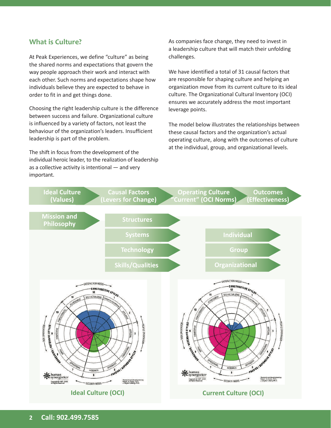#### **What is Culture?**

At Peak Experiences, we define "culture" as being the shared norms and expectations that govern the way people approach their work and interact with each other. Such norms and expectations shape how individuals believe they are expected to behave in order to fit in and get things done.

Choosing the right leadership culture is the difference between success and failure. Organizational culture is influenced by a variety of factors, not least the behaviour of the organization's leaders. Insufficient leadership is part of the problem.

The shift in focus from the development of the individual heroic leader, to the realization of leadership as a collective activity is intentional — and very important.

As companies face change, they need to invest in a leadership culture that will match their unfolding challenges.

We have identified a total of 31 causal factors that are responsible for shaping culture and helping an organization move from its current culture to its ideal culture. The Organizational Cultural Inventory (OCI) ensures we accurately address the most important leverage points.

The model below illustrates the relationships between these causal factors and the organization's actual operating culture, along with the outcomes of culture at the individual, group, and organizational levels.

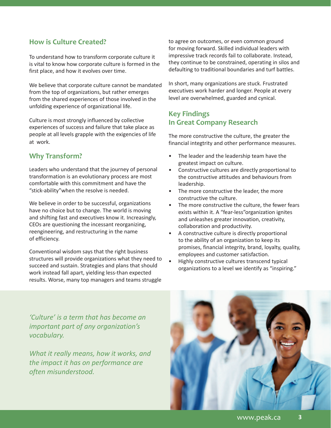### **How is Culture Created?**

To understand how to transform corporate culture it is vital to know how corporate culture is formed in the first place, and how it evolves over time.

We believe that corporate culture cannot be mandated from the top of organizations, but rather emerges from the shared experiences of those involved in the unfolding experience of organizational life.

Culture is most strongly influenced by collective experiences of success and failure that take place as people at all levels grapple with the exigencies of life at work.

#### **Why Transform?**

Leaders who understand that the journey of personal transformation is an evolutionary process are most comfortable with this commitment and have the "stick-ability"when the resolve is needed.

We believe in order to be successful, organizations have no choice but to change. The world is moving and shifting fast and executives know it. Increasingly, CEOs are questioning the incessant reorganizing, reengineering, and restructuring in the name of efficiency.

Conventional wisdom says that the right business structures will provide organizations what they need to succeed and sustain. Strategies and plans that should work instead fall apart, yielding less-than expected results. Worse, many top managers and teams struggle

to agree on outcomes, or even common ground for moving forward. Skilled individual leaders with impressive track records fail to collaborate. Instead, they continue to be constrained, operating in silos and defaulting to traditional boundaries and turf battles.

In short, many organizations are stuck. Frustrated executives work harder and longer. People at every level are overwhelmed, guarded and cynical.

#### **Key Findings In Great Company Research**

The more constructive the culture, the greater the financial integtrity and other performance measures.

- The leader and the leadership team have the greatest impact on culture.
- Constructive cultures are directly proportional to the constructive attitudes and behaviours from leadership.
- The more constructive the leader, the more constructive the culture.
- The more constructive the culture, the fewer fears exists within it. A "fear-less"organization ignites and unleashes greater innovation, creativity, collaboration and productivity.
- A constructive culture is directly proportional to the ability of an organization to keep its promises, financial integrity, brand, loyalty, quality, employees and customer satisfaction.
- Highly constructive cultures transcend typical organizations to a level we identify as "inspiring."

*'Culture' is a term that has become an important part of any organization's vocabulary.* 

*What it really means, how it works, and the impact it has on performance are often misunderstood.*

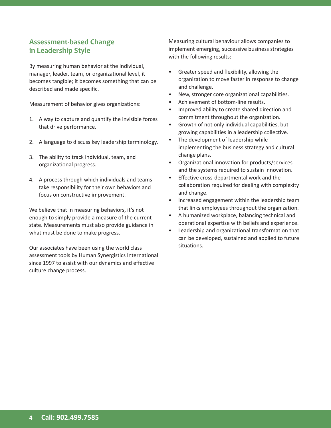### **Assessment-based Change in Leadership Style**

By measuring human behavior at the individual, manager, leader, team, or organizational level, it becomes tangible; it becomes something that can be described and made specific.

Measurement of behavior gives organizations:

- 1. A way to capture and quantify the invisible forces that drive performance.
- 2. A language to discuss key leadership terminology.
- 3. The ability to track individual, team, and organizational progress.
- 4. A process through which individuals and teams take responsibility for their own behaviors and focus on constructive improvement.

We believe that in measuring behaviors, it's not enough to simply provide a measure of the current state. Measurements must also provide guidance in what must be done to make progress.

Our associates have been using the world class assessment tools by Human Synergistics International since 1997 to assist with our dynamics and effective culture change process.

Measuring cultural behaviour allows companies to implement emerging, successive business strategies with the following results:

- Greater speed and flexibility, allowing the organization to move faster in response to change and challenge.
- New, stronger core organizational capabilities.
- Achievement of bottom-line results.
- Improved ability to create shared direction and commitment throughout the organization.
- Growth of not only individual capabilities, but growing capabilities in a leadership collective.
- The development of leadership while implementing the business strategy and cultural change plans.
- Organizational innovation for products/services and the systems required to sustain innovation.
- Effective cross-departmental work and the collaboration required for dealing with complexity and change.
- Increased engagement within the leadership team that links employees throughout the organization.
- A humanized workplace, balancing technical and operational expertise with beliefs and experience.
- Leadership and organizational transformation that can be developed, sustained and applied to future situations.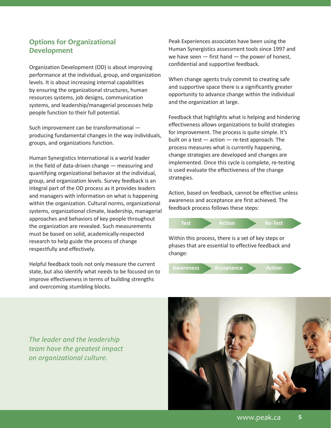### **Options for Organizational Development**

Organization Development (OD) is about improving performance at the individual, group, and organization levels. It is about increasing internal capabilities by ensuring the organizational structures, human resources systems, job designs, communication systems, and leadership/managerial processes help people function to their full potential.

Such improvement can be transformational producing fundamental changes in the way individuals, groups, and organizations function.

Human Synergistics International is a world leader in the field of data-driven change — measuring and quantifying organizational behavior at the individual, group, and organization levels. Survey feedback is an integral part of the OD process as it provides leaders and managers with information on what is happening within the organization. Cultural norms, organizational systems, organizational climate, leadership, managerial approaches and behaviors of key people throughout the organization are revealed. Such measurements must be based on solid, academically-respected research to help guide the process of change respectfully and effectively.

Helpful feedback tools not only measure the current state, but also identify what needs to be focused on to improve effectiveness in terms of building strengths and overcoming stumbling blocks.

Peak Experiences associates have been using the Human Synergistics assessment tools since 1997 and we have seen  $-$  first hand  $-$  the power of honest, confidential and supportive feedback.

When change agents truly commit to creating safe and supportive space there is a significantly greater opportunity to advance change within the individual and the organization at large.

Feedback that highlights what is helping and hindering effectiveness allows organizations to build strategies for improvement. The process is quite simple. It's built on a test  $-$  action  $-$  re-test approach. The process measures what is currently happening, change strategies are developed and changes are implemented. Once this cycle is complete, re-testing is used evaluate the effectiveness of the change strategies.

Action, based on feedback, cannot be effective unless awareness and acceptance are first achieved. The feedback process follows these steps:





*The leader and the leadership team have the greatest impact on organizational culture.* 

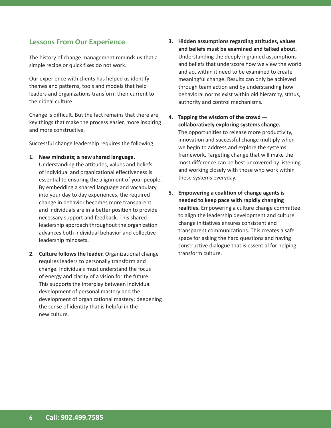#### **Lessons From Our Experience**

The history of change management reminds us that a simple recipe or quick fixes do not work.

Our experience with clients has helped us identify themes and patterns, tools and models that help leaders and organizations transform their current to their ideal culture.

Change is difficult. But the fact remains that there are key things that make the process easier, more inspiring and more constructive.

Successful change leadership requires the following:

**1. New mindsets; a new shared language.** 

Understanding the attitudes, values and beliefs of individual and organizational effectiveness is essential to ensuring the alignment of your people. By embedding a shared language and vocabulary into your day to day experiences, the required change in behavior becomes more transparent and individuals are in a better position to provide necessary support and feedback. This shared leadership approach throughout the organization advances both individual behavior and collective leadership mindsets.

**2. Culture follows the leader.** Organizational change requires leaders to personally transform and change. Individuals must understand the focus of energy and clarity of a vision for the future. This supports the interplay between individual development of personal mastery and the development of organizational mastery; deepening the sense of identity that is helpful in the new culture.

- **3. Hidden assumptions regarding attitudes, values and beliefs must be examined and talked about.** Understanding the deeply ingrained assumptions and beliefs that underscore how we view the world and act within it need to be examined to create meaningful change. Results can only be achieved through team action and by understanding how behavioral norms exist within old hierarchy, status, authority and control mechanisms.
- **4. Tapping the wisdom of the crowd collaboratively exploring systems change.** The opportunities to release more productivity, innovation and successful change multiply when we begin to address and explore the systems framework. Targeting change that will make the most difference can be best uncovered by listening and working closely with those who work within these systems everyday.
- **5. Empowering a coalition of change agents is needed to keep pace with rapidly changing realities.** Empowering a culture change committee to align the leadership development and culture change initiatives ensures consistent and transparent communications. This creates a safe space for asking the hard questions and having constructive dialogue that is essential for helping transform culture.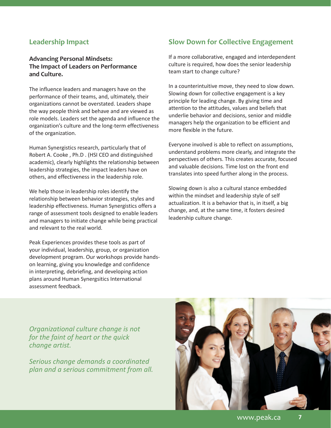#### **Leadership Impact**

#### **Advancing Personal Mindsets: The Impact of Leaders on Performance and Culture.**

The influence leaders and managers have on the performance of their teams, and, ultimately, their organizations cannot be overstated. Leaders shape the way people think and behave and are viewed as role models. Leaders set the agenda and influence the organization's culture and the long-term effectiveness of the organization.

Human Synergistics research, particularly that of Robert A. Cooke , Ph.D . (HSI CEO and distinguished academic), clearly highlights the relationship between leadership strategies, the impact leaders have on others, and effectiveness in the leadership role.

We help those in leadership roles identify the relationship between behavior strategies, styles and leadership effectiveness. Human Synergistics offers a range of assessment tools designed to enable leaders and managers to initiate change while being practical and relevant to the real world.

Peak Experiences provides these tools as part of your individual, leadership, group, or organization development program. Our workshops provide handson learning, giving you knowledge and confidence in interpreting, debriefing, and developing action plans around Human Synergsitics International assessment feedback.

### **Slow Down for Collective Engagement**

If a more collaborative, engaged and interdependent culture is required, how does the senior leadership team start to change culture?

In a counterintuitive move, they need to slow down. Slowing down for collective engagement is a key principle for leading change. By giving time and attention to the attitudes, values and beliefs that underlie behavior and decisions, senior and middle managers help the organization to be efficient and more flexible in the future.

Everyone involved is able to reflect on assumptions, understand problems more clearly, and integrate the perspectives of others. This creates accurate, focused and valuable decisions. Time lost on the front end translates into speed further along in the process.

Slowing down is also a cultural stance embedded within the mindset and leadership style of self actualization. It is a behavior that is, in itself, a big change, and, at the same time, it fosters desired leadership culture change.

*Organizational culture change is not for the faint of heart or the quick change artist.* 

*Serious change demands a coordinated plan and a serious commitment from all.* 

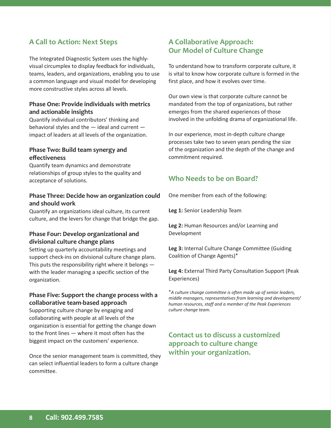## **A Call to Action: Next Steps**

The Integrated Diagnostic System uses the highlyvisual circumplex to display feedback for individuals, teams, leaders, and organizations, enabling you to use a common language and visual model for developing more constructive styles across all levels.

#### **Phase One: Provide individuals with metrics and actionable insights**

Quantify individual contributors' thinking and behavioral styles and the — ideal and current impact of leaders at all levels of the organization.

#### **Phase Two: Build team synergy and efectiveness**

Quantify team dynamics and demonstrate relationships of group styles to the quality and acceptance of solutions.

#### **Phase Three: Decide how an organization could and should work**

Quantify an organizations ideal culture, its current culture, and the levers for change that bridge the gap.

#### **Phase Four: Develop organizational and divisional culture change plans**

Setting up quarterly accountability meetings and support check-ins on divisional culture change plans. This puts the responsibility right where it belongs with the leader managing a specific section of the organization.

#### **Phase Five: Support the change process with a collaborative team-based approach**

Supporting culture change by engaging and collaborating with people at all levels of the organization is essential for getting the change down to the front lines — where it most often has the biggest impact on the customers' experience.

Once the senior management team is committed, they can select influential leaders to form a culture change committee.

#### **A Collaborative Approach: Our Model of Culture Change**

To understand how to transform corporate culture, it is vital to know how corporate culture is formed in the first place, and how it evolves over time.

Our own view is that corporate culture cannot be mandated from the top of organizations, but rather emerges from the shared experiences of those involved in the unfolding drama of organizational life.

In our experience, most in-depth culture change processes take two to seven years pending the size of the organization and the depth of the change and commitment required.

#### **Who Needs to be on Board?**

One member from each of the following:

**Leg 1:** Senior Leadership Team

**Leg 2:** Human Resources and/or Learning and Development

**Leg 3:** Internal Culture Change Committee (Guiding Coalition of Change Agents)\*

**Leg 4:** External Third Party Consultation Support (Peak Experiences)

\**A culture change committee is often made up of senior leaders, middle managers, representatives from learning and development/ human resources, staff and a member of the Peak Experiences culture change team.*

## **Contact us to discuss a customized approach to culture change within your organization.**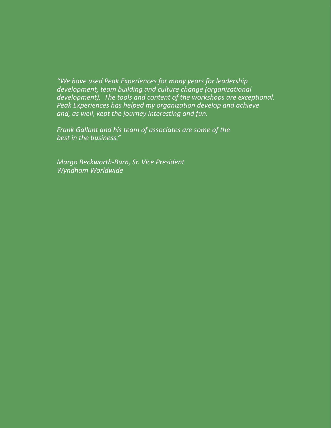*"We have used Peak Experiences for many years for leadership development, team building and culture change (organizational development). The tools and content of the workshops are exceptional. Peak Experiences has helped my organization develop and achieve and, as well, kept the journey interesting and fun.* 

*Frank Gallant and his team of associates are some of the best in the business."*

*Margo Beckworth-Burn, Sr. Vice President Wyndham Worldwide*